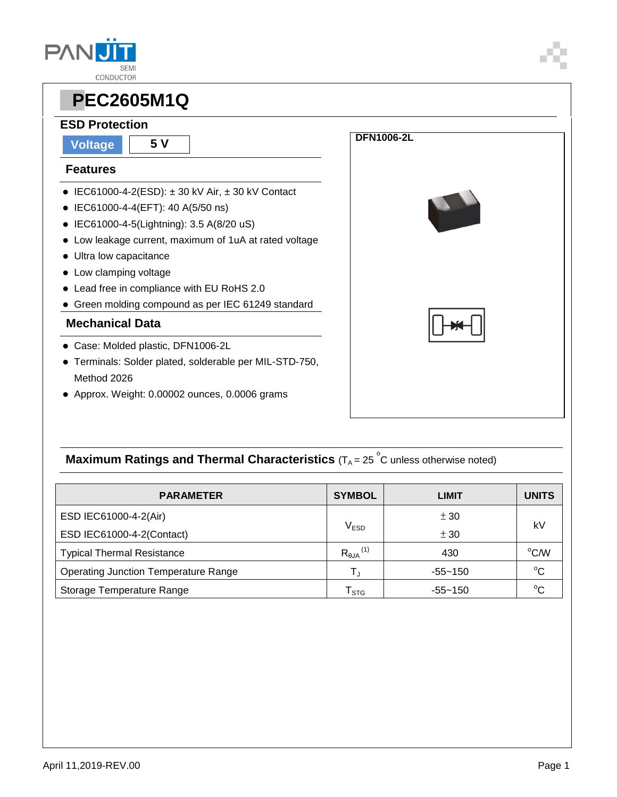



### **ESD Protection**

**Voltage 5 V**

#### **Features**

- $\bullet$  IEC61000-4-2(ESD):  $\pm$  30 kV Air,  $\pm$  30 kV Contact
- IEC61000-4-4(EFT): 40 A(5/50 ns)
- IEC61000-4-5(Lightning): 3.5 A(8/20 uS)
- Low leakage current, maximum of 1uA at rated voltage
- Ultra low capacitance
- Low clamping voltage
- Lead free in compliance with EU RoHS 2.0
- Green molding compound as per IEC 61249 standard

### **Mechanical Data**

- Case: Molded plastic, DFN1006-2L
- Terminals: Solder plated, solderable per MIL-STD-750, Method 2026
- Approx. Weight: 0.00002 ounces, 0.0006 grams



## **Maximum Ratings and Thermal Characteristics** (T<sub>A</sub> = 25<sup>°</sup>C unless otherwise noted)

| <b>PARAMETER</b>                            | <b>SYMBOL</b>                  | <b>LIMIT</b> | <b>UNITS</b> |  |
|---------------------------------------------|--------------------------------|--------------|--------------|--|
| ESD IEC61000-4-2(Air)                       |                                | ± 30         | kV           |  |
| ESD IEC61000-4-2(Contact)                   | V <sub>ESD</sub>               | ± 30         |              |  |
| <b>Typical Thermal Resistance</b>           | $R_{\theta JA}$ <sup>(1)</sup> | 430          | °C/W         |  |
| <b>Operating Junction Temperature Range</b> | T,                             | $-55 - 150$  | $^{\circ}C$  |  |
| Storage Temperature Range                   | ${\sf T}_{\text{STG}}$         | $-55 - 150$  | $^{\circ}C$  |  |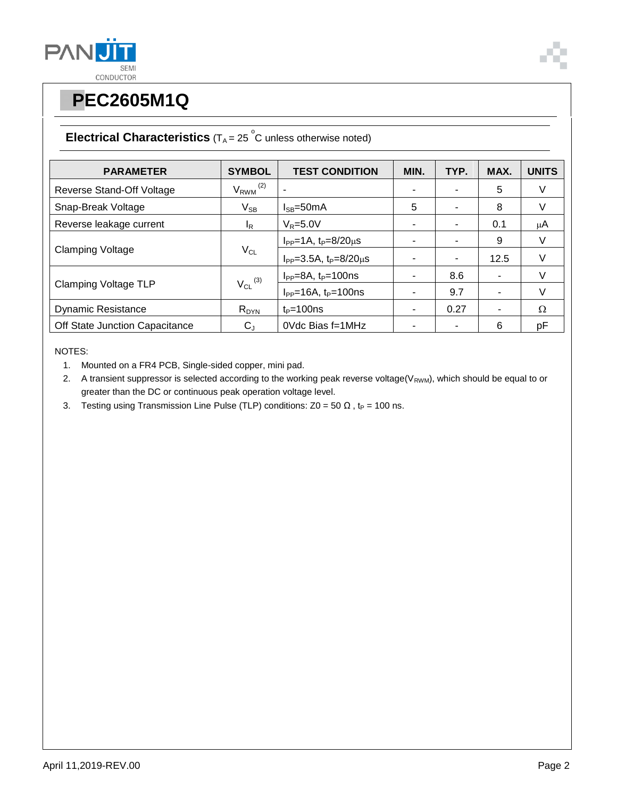



## **Electrical Characteristics**  $(T_A = 25 \degree C$  unless otherwise noted)

| <b>PARAMETER</b>               | <b>SYMBOL</b>            | <b>TEST CONDITION</b>                | MIN.                     | TYP. | MAX. | <b>UNITS</b> |
|--------------------------------|--------------------------|--------------------------------------|--------------------------|------|------|--------------|
| Reverse Stand-Off Voltage      | $V_{RWM}$ <sup>(2)</sup> |                                      |                          |      | 5    | V            |
| Snap-Break Voltage             | $V_{SB}$                 | $I_{SB} = 50mA$                      | 5                        |      | 8    | V            |
| Reverse leakage current        | I <sub>R</sub>           | $V_R = 5.0V$                         |                          |      | 0.1  | $\mu$ A      |
| <b>Clamping Voltage</b>        | $V_{CL}$                 | $I_{PP} = 1A$ , $t_P = 8/20 \mu s$   |                          |      | 9    | V            |
|                                |                          | $I_{PP} = 3.5A$ , $t_P = 8/20 \mu s$ |                          |      | 12.5 | V            |
| <b>Clamping Voltage TLP</b>    | $V_{CL}$ (3)             | $I_{PP} = 8A$ , $t_P = 100$ ns       | $\overline{\phantom{0}}$ | 8.6  | ۰    | V            |
|                                |                          | $I_{PP}$ =16A, $t_P$ =100ns          |                          | 9.7  | ۰    | V            |
| <b>Dynamic Resistance</b>      | $R_{DYN}$                | $t_P = 100$ ns                       |                          | 0.27 | ۰    | $\Omega$     |
| Off State Junction Capacitance | $C_{J}$                  | 0Vdc Bias f=1MHz                     |                          |      | 6    | pF           |

NOTES:

- 1. Mounted on a FR4 PCB, Single-sided copper, mini pad.
- 2. A transient suppressor is selected according to the working peak reverse voltage( $V_{RWM}$ ), which should be equal to or greater than the DC or continuous peak operation voltage level.
- 3. Testing using Transmission Line Pulse (TLP) conditions:  $Z0 = 50 \Omega$ , t<sub>P</sub> = 100 ns.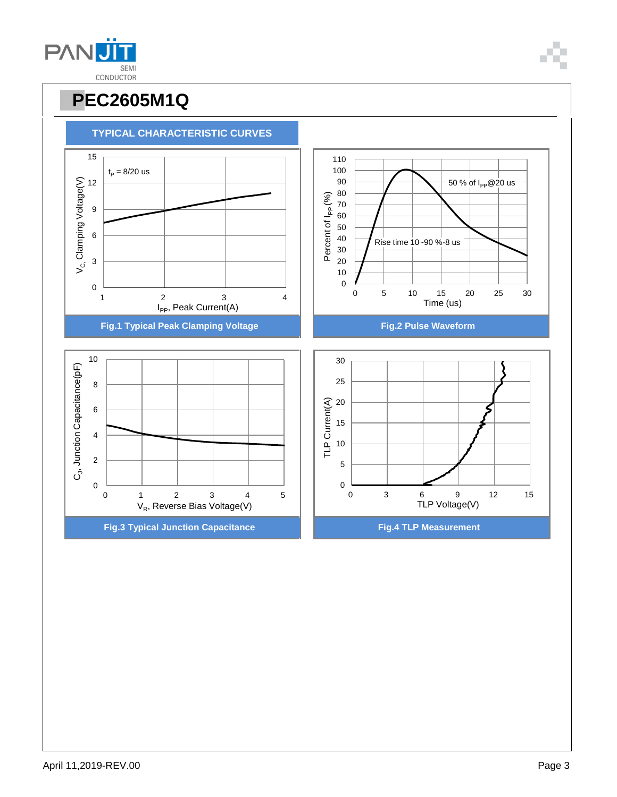April 11,2019-REV.00 Page 3



# **PPEC2605M1Q**

 $t_{\rm P} = 8/20 \text{ us}$ 

**TYPICAL CHARACTERISTIC CURVES**





50 % of  $I_{PP}$ @20 us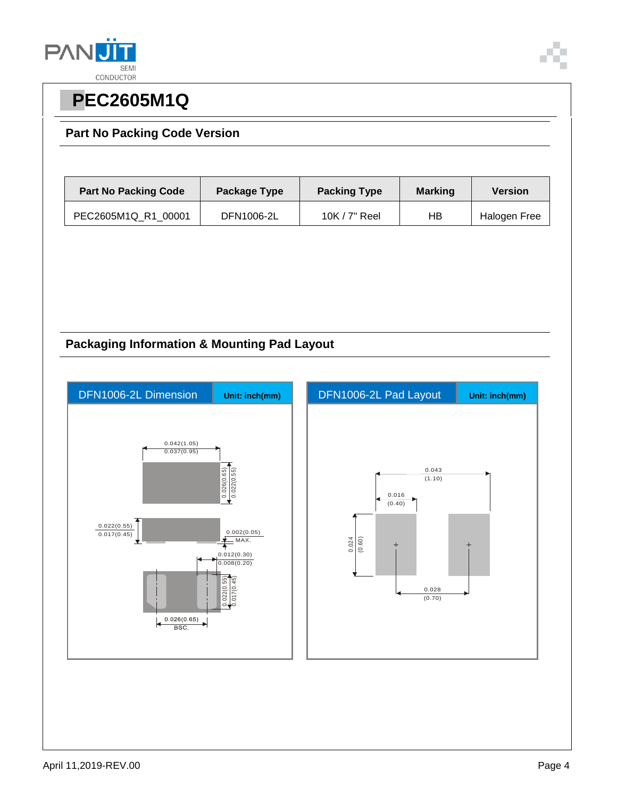

### **Part No Packing Code Version**

| <b>Part No Packing Code</b> | Package Type | <b>Packing Type</b> | <b>Marking</b> | <b>Version</b> |
|-----------------------------|--------------|---------------------|----------------|----------------|
| PEC2605M1Q R1 00001         | DFN1006-2L   | 10K $/$ 7" Reel     | НB             | Halogen Free   |

### **Packaging Information & Mounting Pad Layout**